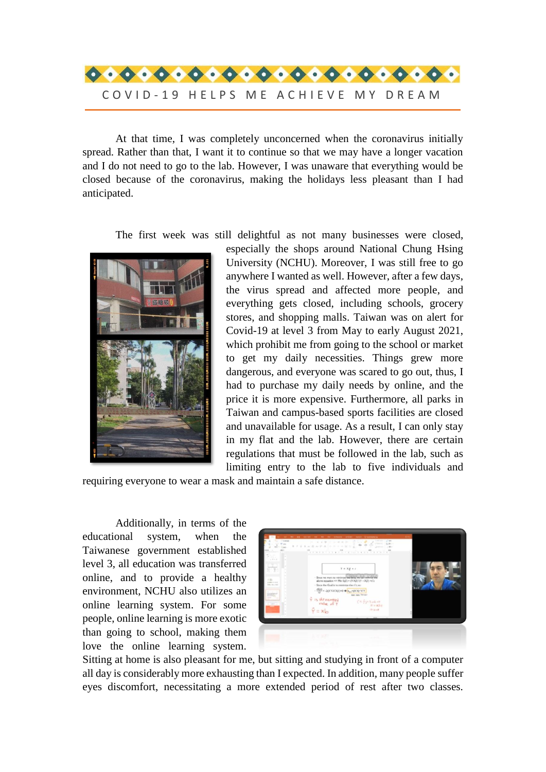

At that time, I was completely unconcerned when the coronavirus initially spread. Rather than that, I want it to continue so that we may have a longer vacation and I do not need to go to the lab. However, I was unaware that everything would be closed because of the coronavirus, making the holidays less pleasant than I had anticipated.

The first week was still delightful as not many businesses were closed,



especially the shops around National Chung Hsing University (NCHU). Moreover, I was still free to go anywhere I wanted as well. However, after a few days, the virus spread and affected more people, and everything gets closed, including schools, grocery stores, and shopping malls. Taiwan was on alert for Covid-19 at level 3 from May to early August 2021, which prohibit me from going to the school or market to get my daily necessities. Things grew more dangerous, and everyone was scared to go out, thus, I had to purchase my daily needs by online, and the price it is more expensive. Furthermore, all parks in Taiwan and campus-based sports facilities are closed and unavailable for usage. As a result, I can only stay in my flat and the lab. However, there are certain regulations that must be followed in the lab, such as limiting entry to the lab to five individuals and

requiring everyone to wear a mask and maintain a safe distance.

Additionally, in terms of the educational system, when the Taiwanese government established level 3, all education was transferred online, and to provide a healthy environment, NCHU also utilizes an online learning system. For some people, online learning is more exotic than going to school, making them love the online learning system.



Sitting at home is also pleasant for me, but sitting and studying in front of a computer all day is considerably more exhausting than I expected. In addition, many people suffer eyes discomfort, necessitating a more extended period of rest after two classes.